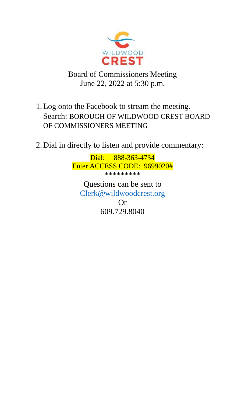

# Board of Commissioners Meeting June 22, 2022 at 5:30 p.m.

- 1.Log onto the Facebook to stream the meeting. Search: BOROUGH OF WILDWOOD CREST BOARD OF COMMISSIONERS MEETING
- 2. Dial in directly to listen and provide commentary:

Dial: 888-363-4734 Enter ACCESS CODE: 9699020# \*\*\*\*\*\*\*\*\*

Questions can be sent to [Clerk@wildwoodcrest.org](mailto:Clerk@wildwoodcrest.org) Or 609.729.8040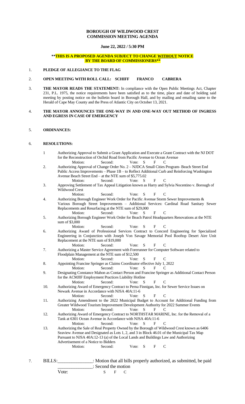# **BOROUGH OF WILDWOOD CREST COMMISSION MEETING AGENDA**

# **June 22, 2022 / 5:30 PM**

# **\*\*THIS IS A PROPOSED AGENDA SUBJECT TO CHANGE WITHOUT NOTICE BY THE BOARD OF COMMISSIONERS\*\***

## 1. **PLEDGE OF ALLEGIANCE TO THE FLAG**

# 2. **OPEN MEETING WITH ROLL CALL: SCHIFF FRANCO CABRERA**

3. **THE MAYOR READS THE STATEMENT:** In compliance with the Open Public Meetings Act, Chapter 231, P.L. 1975, the notice requirements have been satisfied as to the time, place and date of holding said meeting by posting notice on the bulletin board in Borough Hall, and by mailing and emailing same to the Herald of Cape May County and the Press of Atlantic City on October 13, 2021.

#### 4. **THE MAYOR ANNOUNCES THE ONE-WAY IN AND ONE-WAY OUT METHOD OF INGRESS AND EGRESS IN CASE OF EMERGENCY**

# 5. **ORDINANCES:**

# 6. **RESOLUTIONS:**

- 1 Authorizing Approval to Submit a Grant Application and Execute a Grant Contract with the NJ DOT for the Reconstruction of Orchid Road from Pacific Avenue to Ocean Avenue Motion: Second: Vote: S F C
- 2. Authorizing Approval of Change Order No. 2 NJDCA Small Cities Program- Beach Street End Public Access Improvements – Phase 1B – to Reflect Additional Curb and Reinforcing Washington Avenue Beach Street End – at the NTE sum of \$5,775.02 Motion: Second: Vote: S F C
- 3. Approving Settlement of Tax Appeal Litigation known as Harry and Sylvia Nocentino v. Borough of Wildwood Crest<br>Motion:
	- Second: Vote: S F C
- 4. Authorizing Borough Engineer Work Order for Pacific Avenue Storm Sewer Improvements & Various Borough Street Improvements – Additional Services: Cardinal Road Sanitary Sewer Replacements and Resurfacing at the NTE sum of \$29,000 Motion: Second: Vote: S F C
- 5. Authorizing Borough Engineer Work Order for Beach Patrol Headquarters Renovations at the NTE sum of \$3,000
- Motion: Second: Vote: S F C 6. Authorizing Award of Professional Services Contract to Concord Engineering for Specialized Engineering in Conjunction with Joseph Von Savage Memorial Pool Rooftop Desert Aire Unit Replacement at the NTE sum of \$19,000 Motion: Second: Vote: S F C
- 7. Authorizing a Master Service Agreement with Forerunner for Computer Software related to Floodplain Management at the NTE sum of \$12,500
- Motion: Second: Vote: S F C 8. Appointing Francine Springer as Claims Coordinator effective July 1, 2022
	- Motion: Second: Vote: S F C
- 9. Designating Constance Mahon as Contact Person and Francine Springer as Additional Contact Person for the ACMJIF Employment Practices Liability Hotline Motion: Second: Vote: S F C
- 10. Authorizing Award of Emergency Contract to Perna Finnigan, Inc. for Sewer Service Issues on Newark Avenue in Accordance with NJSA 40A:11-6 Motion: Second: Vote: S F C
- 11. Authorizing Amendment to the 2022 Municipal Budget to Account for Additional Funding from Greater Wildwood Tourism Improvement Development Authority for 2022 Summer Events Motion: Second: Vote: S F C
- 12. Authorizing Award of Emergency Contract to NORTHSTAR MARINE, Inc. for the Removal of a Tank at 6301 Ocean Avenue in Accordance with NJSA 40A:11-6 Motion: Second: Vote: S F C
- 13. Authorizing the Sale of Real Property Owned by the Borough of Wildwood Crest known as 6406 Seaview Avenue and Designated as Lots 1, 2, and 3 in Block 46.01 of the Municipal Tax Map Pursuant to NJSA 40A:12-13 (a) of the Local Lands and Buildings Law and Authorizing Advertisement of a Notice to Bidders<br>Motion: Second: Vote: S F C
- 7. BILLS:\_\_\_\_\_\_\_\_\_\_\_\_\_\_\_: Motion that all bills properly authorized, as submitted, be paid \_\_\_\_\_\_\_\_\_\_\_\_\_\_\_: Second the motion
	- Vote: S F C